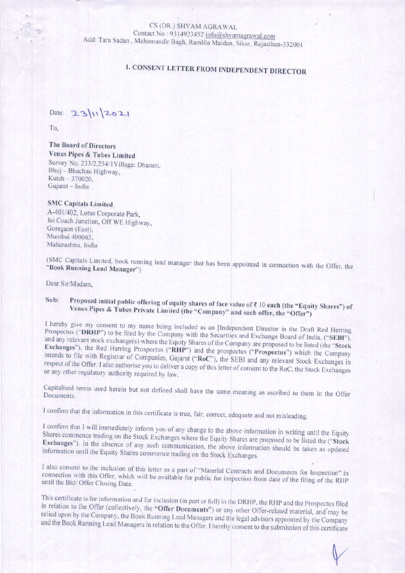CS (DR.) SHYAM AGRAWAL Contact No: 9314923452 info@shyamagrawal.com Add: Tara Sadan, Mahamandir Bagh, Ramlila Maidan, Sikar, Rajasthan-332001

# **1. CONSENT LETTER FROM INDEPENDENT DIRECTOR**

Date: 23/11/2021

To.

The Board of Directors Venus Pipes & Tubes Limited Survey No. 233/2,234/1Village: Dhaneti, Bhuj - Bhachau Highway, Kutch - 370020. Gujarat - India

### **SMC Capitals Limited**

A-401/402, Lotus Corporate Park, Jai Coach Junction, Off WE Highway, Goregaon (East), Mumbai 400063, Maharashtra, India

(SMC Capitals Limited, book running lead manager that has been appointed in connection with the Offer, the "Book Running Lead Manager")

Dear Sir/Madam,

#### Proposed initial public offering of equity shares of face value of ₹ 10 each (the "Equity Shares") of Sub: Venus Pipes & Tubes Private Limited (the "Company" and such offer, the "Offer")

I hereby give my consent to my name being included as an [Independent Director in the Draft Red Herring Prospectus ("DRHP") to be filed by the Company with the Securities and Exchange Board of India, ("SEBI"), and any relevant stock exchange(s) where the Equity Shares of the Company are proposed to be listed (the "Stock Exchanges"), the Red Herring Prospectus ("RHP") and the prospectus ("Prospectus") which the Company intends to file with Registrar of Companies, Gujarat ("RoC"), the SEBI and any relevant Stock Exchanges in respect of the Offer. I also authorise you to deliver a copy of this letter of consent to the RoC, the Stock Exchanges or any other regulatory authority required by law.

Capitalised terms used herein but not defined shall have the same meaning as ascribed to them in the Offer

I confirm that the information in this certificate is true, fair, correct, adequate and not misleading.

I confirm that I will immediately inform you of any change to the above information in writing until the Equity Shares commence trading on the Stock Exchanges where the Equity Shares are proposed to be listed the ("Stock Exchanges"). In the absence of any such communication, the above information should be taken as updated information until the Equity Shares commence trading on the Stock Exchanges.

I also consent to the inclusion of this letter as a part of "Material Contracts and Documents for Inspection" in connection with this Offer, which will be available for public for inspection from date of the filing of the RHP until the Bid/ Offer Closing Date.

This certificate is for information and for inclusion (in part or full) in the DRHP, the RHP and the Prospectus filed in relation to the Offer (collectively, the "Offer Documents") or any other Offer-related material, and may be relied upon by the Company, the Book Running Lead Managers and the legal advisors appointed by the Company and the Book Running Lead Managers in relation to the Offer. I hereby consent to the submission of this certificate